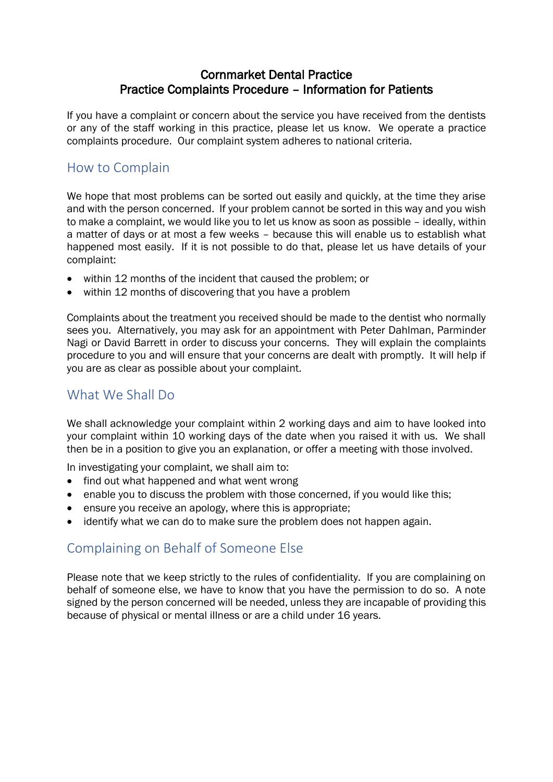#### Cornmarket Dental Practice Practice Complaints Procedure – Information for Patients

If you have a complaint or concern about the service you have received from the dentists or any of the staff working in this practice, please let us know. We operate a practice complaints procedure. Our complaint system adheres to national criteria.

#### How to Complain

We hope that most problems can be sorted out easily and quickly, at the time they arise and with the person concerned. If your problem cannot be sorted in this way and you wish to make a complaint, we would like you to let us know as soon as possible – ideally, within a matter of days or at most a few weeks – because this will enable us to establish what happened most easily. If it is not possible to do that, please let us have details of your complaint:

- within 12 months of the incident that caused the problem; or
- within 12 months of discovering that you have a problem

Complaints about the treatment you received should be made to the dentist who normally sees you. Alternatively, you may ask for an appointment with Peter Dahlman, Parminder Nagi or David Barrett in order to discuss your concerns. They will explain the complaints procedure to you and will ensure that your concerns are dealt with promptly. It will help if you are as clear as possible about your complaint.

## What We Shall Do

We shall acknowledge your complaint within 2 working days and aim to have looked into your complaint within 10 working days of the date when you raised it with us. We shall then be in a position to give you an explanation, or offer a meeting with those involved.

In investigating your complaint, we shall aim to:

- find out what happened and what went wrong
- enable you to discuss the problem with those concerned, if you would like this:
- ensure you receive an apology, where this is appropriate;
- identify what we can do to make sure the problem does not happen again.

## Complaining on Behalf of Someone Else

Please note that we keep strictly to the rules of confidentiality. If you are complaining on behalf of someone else, we have to know that you have the permission to do so. A note signed by the person concerned will be needed, unless they are incapable of providing this because of physical or mental illness or are a child under 16 years.